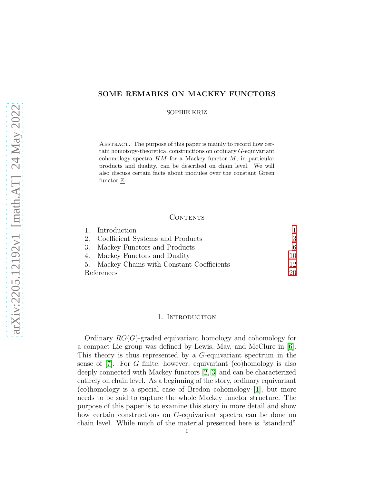# SOME REMARKS ON MACKEY FUNCTORS

SOPHIE KRIZ

ABSTRACT. The purpose of this paper is mainly to record how certain homotopy-theoretical constructions on ordinary G-equivariant cohomology spectra  $HM$  for a Mackey functor  $M$ , in particular products and duality, can be described on chain level. We will also discuss certain facts about modules over the constant Green functor  $\underline{\mathbb{Z}}$ .

### CONTENTS

|            | 1. Introduction                             |    |
|------------|---------------------------------------------|----|
|            | 2. Coefficient Systems and Products         | 3  |
|            | 3. Mackey Functors and Products             | 6  |
|            | 4. Mackey Functors and Duality              | 10 |
|            | 5. Mackey Chains with Constant Coefficients | 12 |
| References |                                             | 20 |

#### 1. Introduction

<span id="page-0-0"></span>Ordinary  $RO(G)$ -graded equivariant homology and cohomology for a compact Lie group was defined by Lewis, May, and McClure in [\[6\]](#page-19-1). This theory is thus represented by a G-equivariant spectrum in the sense of [\[7\]](#page-19-2). For G finite, however, equivariant (co)homology is also deeply connected with Mackey functors [\[2,](#page-19-3) [3\]](#page-19-4) and can be characterized entirely on chain level. As a beginning of the story, ordinary equivariant (co)homology is a special case of Bredon cohomology [\[1\]](#page-19-5), but more needs to be said to capture the whole Mackey functor structure. The purpose of this paper is to examine this story in more detail and show how certain constructions on G-equivariant spectra can be done on chain level. While much of the material presented here is "standard"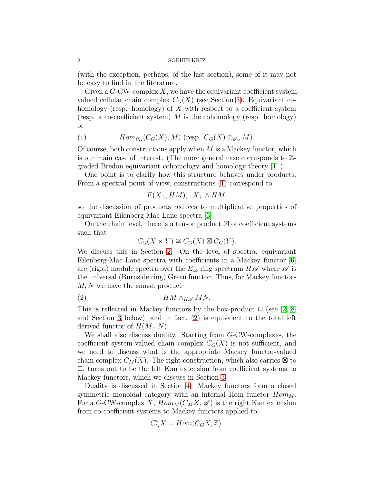#### 2 SOPHIE KRIZ

(with the exception, perhaps, of the last section), some of it may not be easy to find in the literature.

Given a  $G$ -CW-complex X, we have the equivariant coefficient systemvalued cellular chain complex  $C_G(X)$  (see Section [3\)](#page-5-0). Equivariant cohomology (resp. homology) of  $X$  with respect to a coefficient system (resp. a co-coefficient system)  $M$  is the cohomology (resp. homology) of

<span id="page-1-0"></span>(1) 
$$
Hom_{\mathscr{O}_G}(C_G(X), M) \text{ (resp. } C_G(X) \otimes_{\mathscr{O}_G} M).
$$

Of course, both constructions apply when  $M$  is a Mackey functor, which is our main case of interest. (The more general case corresponds to Zgraded Bredon equivariant cohomology and homology theory [\[1\]](#page-19-5).)

One point is to clarify how this structure behaves under products. From a spectral point of view, constructions [\(1\)](#page-1-0) correspond to

$$
F(X_+, HM), X_+ \wedge HM,
$$

so the discussion of products reduces to multiplicative properties of equivariant Eilenberg-Mac Lane spectra [\[6\]](#page-19-1).

On the chain level, there is a tensor product ⊠ of coefficient systems such that

<span id="page-1-1"></span>
$$
C_G(X \times Y) \cong C_G(X) \boxtimes C_G(Y).
$$

We discuss this in Section [2.](#page-2-0) On the level of spectra, equivariant Eilenberg-Mac Lane spectra with coefficients in a Mackey functor [\[6\]](#page-19-1) are (rigid) module spectra over the  $E_{\infty}$  ring spectrum  $H\mathscr{A}$  where  $\mathscr{A}$  is the universal (Burnside ring) Green functor. Thus, for Mackey functors M, N we have the smash product

$$
(2) \t\t\t HM \wedge_{H\mathscr{A}} MN.
$$

This is reflected in Mackey functors by the box-product  $\Box$  (see [\[2,](#page-19-3) [8\]](#page-19-6) and Section [3](#page-5-0) below), and in fact, [\(2\)](#page-1-1) is equivalent to the total left derived functor of  $H(M\Box N)$ .

We shall also discuss duality. Starting from G-CW-complexes, the coefficient system-valued chain complex  $C_G(X)$  is not sufficient, and we need to discuss what is the appropriate Mackey functor-valued chain complex  $C_M(X)$ . The right construction, which also carries  $\boxtimes$  to  $\Box$ , turns out to be the left Kan extension from coefficient systems to Mackey functors, which we discuss in Section [3.](#page-5-0)

Duality is discussed in Section [4.](#page-9-0) Mackey functors form a closed symmetric monoidal category with an internal Hom functor  $Hom<sub>M</sub>$ . For a G-CW-complex X,  $Hom_M(C_MX, \mathscr{A})$  is the right Kan extension from co-coefficient systems to Mackey functors applied to

$$
C_G^*X = Hom(C_GX, \mathbb{Z}).
$$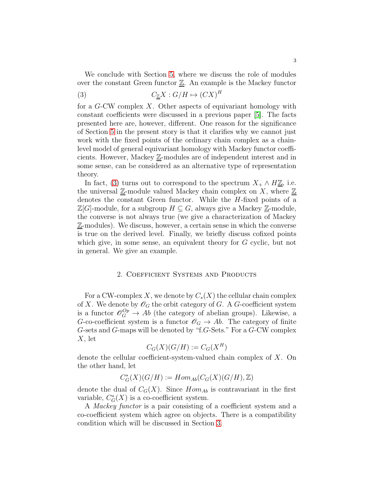We conclude with Section [5,](#page-11-0) where we discuss the role of modules over the constant Green functor  $\underline{\mathbb{Z}}$ . An example is the Mackey functor

<span id="page-2-1"></span>
$$
(3) \tC_{\underline{Z}}X:G/H\mapsto (CX)^H
$$

for a G-CW complex X. Other aspects of equivariant homology with constant coefficients were discussed in a previous paper [\[5\]](#page-19-7). The facts presented here are, however, different. One reason for the significance of Section [5](#page-11-0) in the present story is that it clarifies why we cannot just work with the fixed points of the ordinary chain complex as a chainlevel model of general equivariant homology with Mackey functor coefficients. However, Mackey Z-modules are of independent interest and in some sense, can be considered as an alternative type of representation theory.

In fact, [\(3\)](#page-2-1) turns out to correspond to the spectrum  $X_+ \wedge H\underline{\mathbb{Z}}$ , i.e. the universal  $\underline{\mathbb{Z}}$ -module valued Mackey chain complex on X, where  $\underline{\mathbb{Z}}$ denotes the constant Green functor. While the H-fixed points of a  $\mathbb{Z}[G]$ -module, for a subgroup  $H \subseteq G$ , always give a Mackey  $\mathbb{Z}$ -module, the converse is not always true (we give a characterization of Mackey  $\underline{\mathbb{Z}}$ -modules). We discuss, however, a certain sense in which the converse is true on the derived level. Finally, we briefly discuss cofixed points which give, in some sense, an equivalent theory for G cyclic, but not in general. We give an example.

# 2. Coefficient Systems and Products

<span id="page-2-0"></span>For a CW-complex X, we denote by  $C_*(X)$  the cellular chain complex of X. We denote by  $\mathscr{O}_G$  the orbit category of G. A G-coefficient system is a functor  $\mathcal{O}_G^{Op} \to Ab$  (the category of abelian groups). Likewise, a G-co-coefficient system is a functor  $\mathscr{O}_G \to Ab$ . The category of finite G-sets and G-maps will be denoted by "f.G-Sets." For a G-CW complex X, let

$$
C_G(X)(G/H) := C_G(X^H)
$$

denote the cellular coefficient-system-valued chain complex of X. On the other hand, let

$$
C^*_G(X)(G/H):=Hom_{Ab}(C_G(X)(G/H),\mathbb{Z})
$$

denote the dual of  $C_G(X)$ . Since  $Hom_{Ab}$  is contravariant in the first variable,  $C^*_{G}(X)$  is a co-coefficient system.

A Mackey functor is a pair consisting of a coefficient system and a co-coefficient system which agree on objects. There is a compatibility condition which will be discussed in Section [3.](#page-5-0)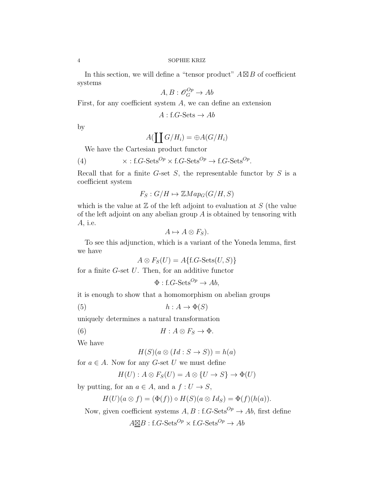In this section, we will define a "tensor product"  $A \boxtimes B$  of coefficient systems

$$
A, B : \mathscr{O}_G^{Op} \to Ab
$$

First, for any coefficient system A, we can define an extension

 $A:$  f.G-Sets  $\rightarrow Ab$ 

by

<span id="page-3-0"></span>
$$
A(\coprod G/H_i)=\oplus A(G/H_i)
$$

We have the Cartesian product functor

(4) 
$$
\times
$$
: f.G-Sets<sup>Op</sup>  $\times$  f.G-Sets<sup>Op</sup>  $\rightarrow$  f.G-Sets<sup>Op</sup>.

Recall that for a finite  $G$ -set  $S$ , the representable functor by  $S$  is a coefficient system

$$
F_S: G/H \mapsto \mathbb{Z}Map_G(G/H, S)
$$

which is the value at  $\mathbb Z$  of the left adjoint to evaluation at  $S$  (the value of the left adjoint on any abelian group  $A$  is obtained by tensoring with A, i.e.

$$
A \mapsto A \otimes F_S).
$$

To see this adjunction, which is a variant of the Yoneda lemma, first we have

$$
A \otimes F_S(U) = A\{\text{f.G-Sets}(U, S)\}
$$

for a finite  $G$ -set  $U$ . Then, for an additive functor

$$
\Phi: f.G\text{-Sets}^{Op} \to Ab,
$$

it is enough to show that a homomorphism on abelian groups

$$
(5) \qquad \qquad h: A \to \Phi(S)
$$

uniquely determines a natural transformation

(6) 
$$
H: A \otimes F_S \to \Phi.
$$

We have

$$
H(S)(a \otimes (Id : S \to S)) = h(a)
$$

for  $a \in A$ . Now for any G-set U we must define

$$
H(U) : A \otimes F_S(U) = A \otimes \{U \to S\} \to \Phi(U)
$$

by putting, for an  $a \in A$ , and a  $f: U \to S$ ,

$$
H(U)(a \otimes f) = (\Phi(f)) \circ H(S)(a \otimes Id_S) = \Phi(f)(h(a)).
$$

Now, given coefficient systems  $A, B$  : f.G-Sets<sup>Op</sup>  $\rightarrow$  Ab, first define

 $A \boxtimes B$ : f.G-Sets<sup>Op</sup> × f.G-Sets<sup>Op</sup>  $\rightarrow Ab$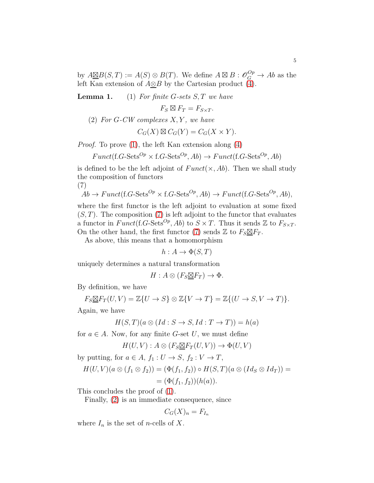by  $A \underline{\boxtimes} B(S,T) := A(S) \otimes B(T)$ . We define  $A \boxtimes B : \mathscr{O}_G^{Op} \to Ab$  as the left Kan extension of  $A\underline{\otimes}B$  by the Cartesian product [\(4\)](#page-3-0).

<span id="page-4-0"></span>**Lemma 1.** (1) For finite G-sets  $S, T$  we have

 $F_S \boxtimes F_T = F_{S \times T}$ .

<span id="page-4-2"></span>(2) For G-CW complexes  $X, Y$ , we have

$$
C_G(X) \boxtimes C_G(Y) = C_G(X \times Y).
$$

Proof. To prove [\(1\)](#page-4-0), the left Kan extension along [\(4\)](#page-3-0)

$$
Funct(f.G-Sets^{Op} \times f.G-Sets^{Op}, Ab) \rightarrow Funct(f.G-Sets^{Op}, Ab)
$$

is defined to be the left adjoint of  $Funct(\times, Ab)$ . Then we shall study the composition of functors

(7)

<span id="page-4-1"></span>
$$
Ab \to Funct(f.G-Sets^{Op} \times f.G-Sets^{Op}, Ab) \to Funct(f.G-Sets^{Op}, Ab),
$$

where the first functor is the left adjoint to evaluation at some fixed  $(S, T)$ . The composition  $(7)$  is left adjoint to the functor that evaluates a functor in  $Funct(f.G-Sets^{Op}, Ab)$  to  $S \times T$ . Thus it sends  $\mathbb{Z}$  to  $F_{S \times T}$ . On the other hand, the first functor [\(7\)](#page-4-1) sends  $\mathbb{Z}$  to  $F_S \boxtimes F_T$ .

As above, this means that a homomorphism

$$
h: A \to \Phi(S, T)
$$

uniquely determines a natural transformation

$$
H: A \otimes (F_S \underline{\boxtimes} F_T) \to \Phi.
$$

By definition, we have

$$
F_S \underline{\boxtimes} F_T(U, V) = \mathbb{Z}\{U \to S\} \otimes \mathbb{Z}\{V \to T\} = \mathbb{Z}\{(U \to S, V \to T)\}.
$$

Again, we have

$$
H(S,T)(a\otimes (Id:S\rightarrow S,Id:T\rightarrow T))=h(a)
$$

for  $a \in A$ . Now, for any finite G-set U, we must define

$$
H(U, V) : A \otimes (F_S \underline{\boxtimes} F_T(U, V)) \to \Phi(U, V)
$$

by putting, for  $a \in A$ ,  $f_1: U \to S$ ,  $f_2: V \to T$ ,

$$
H(U,V)(a\otimes (f_1\otimes f_2))=(\Phi(f_1,f_2))\circ H(S,T)(a\otimes (Id_S\otimes Id_T))=
$$

$$
= (\Phi(f_1, f_2))(h(a)).
$$

This concludes the proof of [\(1\)](#page-4-0).

Finally, [\(2\)](#page-4-2) is an immediate consequence, since

$$
C_G(X)_n = F_{I_n}
$$

where  $I_n$  is the set of *n*-cells of X.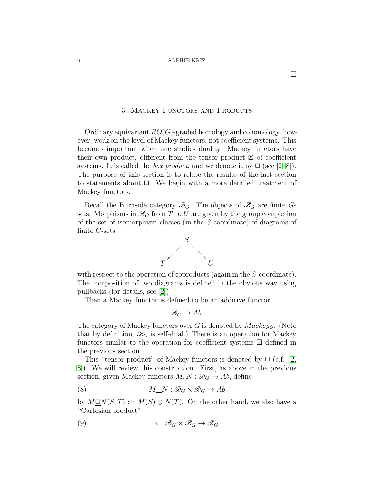#### 3. MACKEY FUNCTORS AND PRODUCTS

<span id="page-5-0"></span>Ordinary equivariant  $RO(G)$ -graded homology and cohomology, however, work on the level of Mackey functors, not coefficient systems. This becomes important when one studies duality. Mackey functors have their own product, different from the tensor product ⊠ of coefficient systems. It is called the *box product*, and we denote it by  $\Box$  (see [\[2,](#page-19-3) [8\]](#page-19-6)). The purpose of this section is to relate the results of the last section to statements about  $\Box$ . We begin with a more detailed treatment of Mackey functors.

Recall the Burnside category  $\mathscr{B}_G$ . The objects of  $\mathscr{B}_G$  are finite Gsets. Morphisms in  $\mathcal{B}_G$  from T to U are given by the group completion of the set of isomorphism classes (in the S-coordinate) of diagrams of finite G-sets



with respect to the operation of coproducts (again in the S-coordinate). The composition of two diagrams is defined in the obvious way using pullbacks (for details, see [\[2\]](#page-19-3)).

Then a Mackey functor is defined to be an additive functor

$$
\mathscr{B}_G\to Ab.
$$

The category of Mackey functors over G is denoted by  $Mackey_G$ . (Note that by definition,  $\mathscr{B}_G$  is self-dual.) There is an operation for Mackey functors similar to the operation for coefficient systems ⊠ defined in the previous section.

This "tensor product" of Mackey functors is denoted by  $\Box$  (c.f. [\[2,](#page-19-3) [8\]](#page-19-6)). We will review this construction. First, as above in the previous section, given Mackey functors  $M, N : \mathcal{B}_G \to Ab$ , define

<span id="page-5-1"></span>(8) 
$$
M\underline{\square}N : \mathscr{B}_G \times \mathscr{B}_G \to Ab
$$

by  $M\Box N(S,T) := M(S) \otimes N(T)$ . On the other hand, we also have a "Cartesian product"

<span id="page-5-2"></span>(9) 
$$
\times : \mathcal{B}_G \times \mathcal{B}_G \to \mathcal{B}_G.
$$

 $\Box$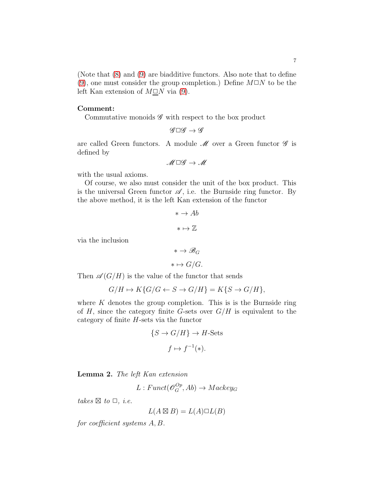(Note that [\(8\)](#page-5-1) and [\(9\)](#page-5-2) are biadditive functors. Also note that to define [\(9\)](#page-5-2), one must consider the group completion.) Define  $M\Box N$  to be the left Kan extension of  $M\Box N$  via [\(9\)](#page-5-2).

### Comment:

Commutative monoids  $\mathscr G$  with respect to the box product

$$
\mathscr{G}\square \mathscr{G}\to \mathscr{G}
$$

are called Green functors. A module  $\mathcal M$  over a Green functor  $\mathcal G$  is defined by

$$
\mathscr{M}\,\square \mathscr{G}\to \mathscr{M}
$$

with the usual axioms.

Of course, we also must consider the unit of the box product. This is the universal Green functor  $\mathscr A$ , i.e. the Burnside ring functor. By the above method, it is the left Kan extension of the functor

$$
\ast \to Ab
$$

$$
\ast \mapsto \mathbb{Z}
$$

via the inclusion

$$
\ast \to \mathscr{B}_G
$$

$$
\ast \mapsto G/G.
$$

Then  $\mathscr{A}(G/H)$  is the value of the functor that sends

$$
G/H \mapsto K\{G/G \leftarrow S \rightarrow G/H\} = K\{S \rightarrow G/H\},\
$$

where  $K$  denotes the group completion. This is is the Burnside ring of H, since the category finite G-sets over  $G/H$  is equivalent to the category of finite  $H$ -sets via the functor

$$
\{S \to G/H\} \to H\text{-Sets}
$$

$$
f \mapsto f^{-1}(*).
$$

<span id="page-6-0"></span>Lemma 2. The left Kan extension

$$
L: Funct(\mathcal{O}_G^{Op}, Ab) \to Mackey_G
$$

takes  $\boxtimes$  to  $\Box$ , *i.e.* 

$$
L(A \boxtimes B) = L(A) \square L(B)
$$

for coefficient systems A, B.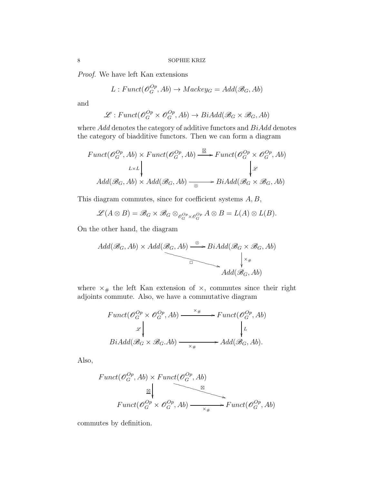Proof. We have left Kan extensions

$$
L: Funct(\mathcal{O}_G^{Op}, Ab) \to Mackey_G = Add(\mathcal{B}_G, Ab)
$$

and

$$
\mathcal{L}: Funct(\mathcal{O}_G^{Op} \times \mathcal{O}_G^{Op}, Ab) \to BiAdd(\mathcal{B}_G \times \mathcal{B}_G, Ab)
$$

where  $Add$  denotes the category of additive functors and  $BiAdd$  denotes the category of biadditive functors. Then we can form a diagram

$$
Funct(\mathcal{O}_G^{Op}, Ab) \times Funct(\mathcal{O}_G^{Op}, Ab) \xrightarrow{\boxtimes} Funct(\mathcal{O}_G^{Op} \times \mathcal{O}_G^{Op}, Ab)
$$
  

$$
L \times L \downarrow \qquad \qquad \downarrow \mathcal{L}
$$
  

$$
Add(\mathcal{B}_G, Ab) \times Add(\mathcal{B}_G, Ab) \xrightarrow{\otimes} BiAdd(\mathcal{B}_G \times \mathcal{B}_G, Ab)
$$

This diagram commutes, since for coefficient systems  $A, B$ ,

$$
\mathscr{L}(A\otimes B)=\mathscr{B}_G\times\mathscr{B}_G\otimes_{\mathscr{O}_G^{Op}\times\mathscr{O}_G^{Op}}A\otimes B=L(A)\otimes L(B).
$$

On the other hand, the diagram

$$
Add(\mathcal{B}_G, Ab) \times Add(\mathcal{B}_G, Ab) \xrightarrow{\otimes} BiAdd(\mathcal{B}_G \times \mathcal{B}_G, Ab)
$$
\n
$$
\downarrow \times \downarrow
$$
\n
$$
Add(\mathcal{B}_G, Ab)
$$

where  $\times_{\#}$  the left Kan extension of  $\times$ , commutes since their right adjoints commute. Also, we have a commutative diagram

$$
Funct(\mathcal{O}_G^{Op} \times \mathcal{O}_G^{Op}, Ab) \xrightarrow{\times \#} Funct(\mathcal{O}_G^{Op}, Ab)
$$
  
\n
$$
\downarrow^{\mathcal{L}}
$$
  
\n
$$
BiAdd(\mathcal{B}_G \times \mathcal{B}_G, Ab) \xrightarrow{\times \#} Add(\mathcal{B}_G, Ab).
$$

Also,

$$
Funct(\mathcal{O}_G^{Op}, Ab) \times Funct(\mathcal{O}_G^{Op}, Ab)
$$
  
\n
$$
\mathbb{E} \downarrow
$$
  
\n
$$
Funct(\mathcal{O}_G^{Op} \times \mathcal{O}_G^{Op}, Ab) \longrightarrow
$$
  
\n
$$
Funct(\mathcal{O}_G^{Op} \times \mathcal{O}_G^{Op}, Ab)
$$

commutes by definition.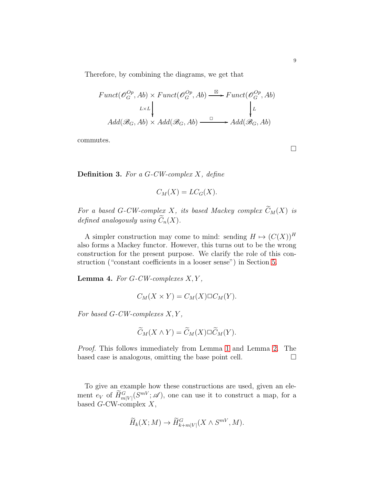Therefore, by combining the diagrams, we get that

$$
Funct(\mathcal{O}_G^{Op}, Ab) \times Funct(\mathcal{O}_G^{Op}, Ab) \xrightarrow{\boxtimes} Funct(\mathcal{O}_G^{Op}, Ab)
$$

$$
L \times L \downarrow \qquad \qquad \downarrow L
$$

$$
Add(\mathcal{B}_G, Ab) \times Add(\mathcal{B}_G, Ab) \xrightarrow{\Box} Add(\mathcal{B}_G, Ab)
$$

commutes.

 $\Box$ 

**Definition 3.** For a  $G$ -CW-complex X, define

$$
C_M(X) = LC_G(X).
$$

For a based G-CW-complex X, its based Mackey complex  $\widetilde{C}_M(X)$  is defined analogously using  $\widetilde{C}_n(X)$ .

A simpler construction may come to mind: sending  $H \mapsto (C(X))^H$ also forms a Mackey functor. However, this turns out to be the wrong construction for the present purpose. We clarify the role of this construction ("constant coefficients in a looser sense") in Section [5.](#page-11-0)

**Lemma 4.** For  $G$ -CW-complexes  $X, Y$ ,

$$
C_M(X \times Y) = C_M(X) \square C_M(Y).
$$

For based  $G$ -CW-complexes  $X, Y$ ,

$$
\widetilde{C}_M(X \wedge Y) = \widetilde{C}_M(X) \square \widetilde{C}_M(Y).
$$

Proof. This follows immediately from Lemma 1 and Lemma [2.](#page-6-0) The based case is analogous, omitting the base point cell.  $\Box$ 

To give an example how these constructions are used, given an element  $e_V$  of  $\widetilde{H}_{m|V|}^G(S^{mV};\mathscr{A})$ , one can use it to construct a map, for a based  $G$ -CW-complex  $X$ ,

$$
\widetilde{H}_k(X;M) \to \widetilde{H}_{k+m|V|}^G(X \wedge S^{mV},M).
$$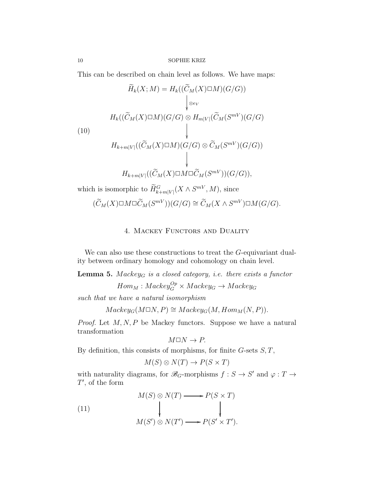This can be described on chain level as follows. We have maps:

$$
\widetilde{H}_k(X;M) = H_k((\widetilde{C}_M(X)\square M)(G/G))
$$
\n
$$
\downarrow_{\otimes_{e_V}}
$$
\n
$$
H_k((\widetilde{C}_M(X)\square M)(G/G) \otimes H_{m|V|}(\widetilde{C}_M(S^{mV})(G/G))
$$
\n
$$
\downarrow
$$
\n
$$
H_{k+m|V|}((\widetilde{C}_M(X)\square M)(G/G) \otimes \widetilde{C}_M(S^{mV})(G/G))
$$

$$
H_{k+m|V|}((\widetilde{C}_M(X)\square M\square \widetilde{C}_M(S^{mV}))(G/G)),
$$

which is isomorphic to  $\overline{H}_{k+m|V|}^G(X \wedge S^{mV}, M)$ , since

<span id="page-9-0"></span>
$$
(\widetilde{C}_M(X) \square M \square \widetilde{C}_M(S^{mV}))(G/G) \cong \widetilde{C}_M(X \wedge S^{mV}) \square M(G/G).
$$

# 4. MACKEY FUNCTORS AND DUALITY

We can also use these constructions to treat the G-equivariant duality between ordinary homology and cohomology on chain level.

**Lemma 5.**  $Mackey<sub>G</sub>$  is a closed category, i.e. there exists a functor

 $Hom_M: Mackey^{Op}_G \times Mackey_G \rightarrow Mackey_G$ 

such that we have a natural isomorphism

 $Mackey_{G}(M\Box N, P) \cong Mackey_{G}(M, Hom_{M}(N, P)).$ 

*Proof.* Let  $M, N, P$  be Mackey functors. Suppose we have a natural transformation

$$
M\square N\to P.
$$

By definition, this consists of morphisms, for finite  $G$ -sets  $S, T$ ,

<span id="page-9-1"></span>
$$
M(S) \otimes N(T) \to P(S \times T)
$$

with naturality diagrams, for  $\mathscr{B}_G$ -morphisms  $f : S \to S'$  and  $\varphi : T \to$  $T'$ , of the form

(11)  
\n
$$
M(S) \otimes N(T) \longrightarrow P(S \times T)
$$
\n
$$
\downarrow \qquad \qquad \downarrow
$$
\n
$$
M(S') \otimes N(T') \longrightarrow P(S' \times T').
$$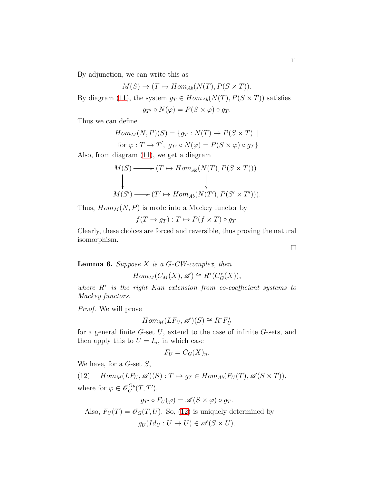By adjunction, we can write this as

$$
M(S) \to (T \mapsto Hom_{Ab}(N(T), P(S \times T)).
$$

By diagram [\(11\)](#page-9-1), the system  $g_T \in Hom_{Ab}(N(T), P(S \times T))$  satisfies

$$
g_{T'} \circ N(\varphi) = P(S \times \varphi) \circ g_T.
$$

Thus we can define

$$
Hom_M(N, P)(S) = \{g_T : N(T) \to P(S \times T) \mid
$$
  
for  $\varphi : T \to T'$ ,  $g_{T'} \circ N(\varphi) = P(S \times \varphi) \circ g_T\}$ 

Also, from diagram [\(11\)](#page-9-1), we get a diagram

$$
M(S) \longrightarrow (T \mapsto Hom_{Ab}(N(T), P(S \times T)))
$$
  
\n
$$
M(S') \longrightarrow (T' \mapsto Hom_{Ab}(N(T'), P(S' \times T'))).
$$

Thus,  $Hom<sub>M</sub>(N, P)$  is made into a Mackey functor by

$$
f(T \to g_T) : T \mapsto P(f \times T) \circ g_T.
$$

Clearly, these choices are forced and reversible, thus proving the natural isomorphism.

**Lemma 6.** Suppose  $X$  is a  $G$ -CW-complex, then

 $Hom_M(C_M(X), \mathscr{A}) \cong R^*(C^*_G(X)),$ 

where R<sup>∗</sup> is the right Kan extension from co-coefficient systems to Mackey functors.

Proof. We will prove

$$
Hom_M(LF_U, \mathscr{A})(S) \cong R^*F_U^*
$$

for a general finite  $G$ -set  $U$ , extend to the case of infinite  $G$ -sets, and then apply this to  $U = I_n$ , in which case

$$
F_U = C_G(X)_n.
$$

We have, for a  $G$ -set  $S$ ,

<span id="page-10-0"></span>(12)  $Hom_M(LF_U, \mathscr{A})(S) : T \mapsto g_T \in Hom_{Ab}(F_U(T), \mathscr{A}(S \times T)),$ where for  $\varphi \in \mathscr{O}_G^{Op}(T, T'),$ 

$$
g_{T'} \circ F_U(\varphi) = \mathscr{A}(S \times \varphi) \circ g_T.
$$

Also,  $F_U(T) = \mathscr{O}_G(T, U)$ . So, [\(12\)](#page-10-0) is uniquely determined by  $q_U(Id_U: U \to U) \in \mathscr{A}(S \times U).$ 

 $\Box$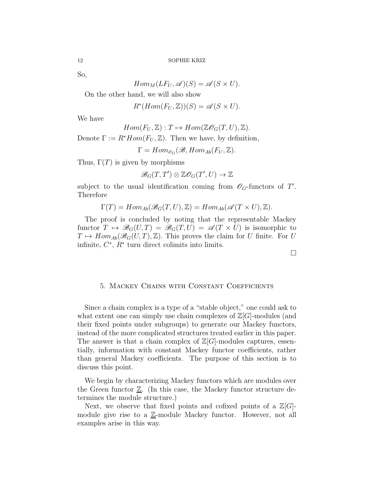So,

$$
Hom_M(LF_U, \mathscr{A})(S) = \mathscr{A}(S \times U).
$$

On the other hand, we will also show

 $R^*(Hom(F_U, \mathbb{Z}))(S) = \mathscr{A}(S \times U).$ 

We have

$$
Hom(F_U, \mathbb{Z}): T \mapsto Hom(\mathbb{Z} \mathcal{O}_G(T, U), \mathbb{Z}).
$$

Denote  $\Gamma := R^*Hom(F_U, \mathbb{Z})$ . Then we have, by definition,

 $\Gamma = Hom_{\mathscr{O}_G}(\mathscr{B}, Hom_{Ab}(F_U, \mathbb{Z}).$ 

Thus,  $\Gamma(T)$  is given by morphisms

$$
\mathcal{B}_G(T,T')\otimes\mathbb{Z}\mathcal{O}_G(T',U)\to\mathbb{Z}
$$

subject to the usual identification coming from  $\mathscr{O}_G$ -functors of T'. Therefore

$$
\Gamma(T) = Hom_{Ab}(\mathscr{B}_G(T, U), \mathbb{Z}) = Hom_{Ab}(\mathscr{A}(T \times U), \mathbb{Z}).
$$

The proof is concluded by noting that the representable Mackey functor  $T \mapsto \mathscr{B}_G(U,T) = \mathscr{B}_G(T,U) = \mathscr{A}(T \times U)$  is isomorphic to  $T \mapsto Hom_{Ab}(\mathscr{B}_G(U,T),\mathbb{Z})$ . This proves the claim for U finite. For U infinite,  $C^*$ ,  $R^*$  turn direct colimits into limits.

 $\Box$ 

#### <span id="page-11-0"></span>5. Mackey Chains with Constant Coefficients

Since a chain complex is a type of a "stable object," one could ask to what extent one can simply use chain complexes of  $\mathbb{Z}[G]$ -modules (and their fixed points under subgroups) to generate our Mackey functors, instead of the more complicated structures treated earlier in this paper. The answer is that a chain complex of  $\mathbb{Z}[G]$ -modules captures, essentially, information with constant Mackey functor coefficients, rather than general Mackey coefficients. The purpose of this section is to discuss this point.

We begin by characterizing Mackey functors which are modules over the Green functor  $\underline{\mathbb{Z}}$ . (In this case, the Mackey functor structure determines the module structure.)

Next, we observe that fixed points and cofixed points of a  $\mathbb{Z}[G]$ module give rise to a  $\mathbb{Z}$ -module Mackey functor. However, not all examples arise in this way.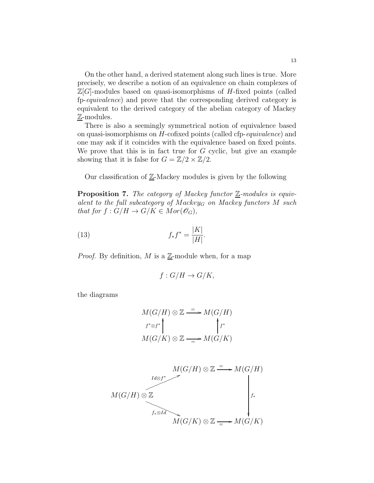On the other hand, a derived statement along such lines is true. More precisely, we describe a notion of an equivalence on chain complexes of  $\mathbb{Z}[G]$ -modules based on quasi-isomorphisms of H-fixed points (called fp-equivalence) and prove that the corresponding derived category is equivalent to the derived category of the abelian category of Mackey Z-modules.

There is also a seemingly symmetrical notion of equivalence based on quasi-isomorphisms on H-cofixed points (called cfp-equivalence) and one may ask if it coincides with the equivalence based on fixed points. We prove that this is in fact true for  $G$  cyclic, but give an example showing that it is false for  $G = \mathbb{Z}/2 \times \mathbb{Z}/2$ .

Our classification of  $\mathbb{Z}$ -Mackey modules is given by the following

**Proposition 7.** The category of Mackey functor  $\underline{\mathbb{Z}}$ -modules is equivalent to the full subcategory of Mackey<sub>G</sub> on Mackey functors  $M$  such that for  $f: G/H \to G/K \in Mor(\mathscr{O}_G)$ ,

(13) 
$$
f_* f^* = \frac{|K|}{|H|}.
$$

*Proof.* By definition, M is a  $\underline{\mathbb{Z}}$ -module when, for a map

<span id="page-12-0"></span>
$$
f: G/H \to G/K,
$$

the diagrams

$$
M(G/H) \otimes \mathbb{Z} \xrightarrow{=} M(G/H)
$$
  

$$
f^* \otimes f^* \qquad \qquad \int f^* \qquad \qquad
$$
  

$$
M(G/K) \otimes \mathbb{Z} \xrightarrow{=} M(G/K)
$$

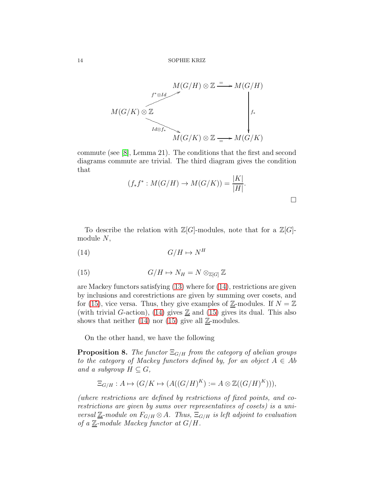$$
M(G/H) \otimes \mathbb{Z} \longrightarrow M(G/H)
$$
  
\n
$$
M(G/K) \otimes \mathbb{Z}
$$
  
\n
$$
M(G/K) \otimes \mathbb{Z}
$$
  
\n
$$
M(G/K) \otimes \mathbb{Z} \longrightarrow M(G/K)
$$

commute (see [\[8\]](#page-19-6), Lemma 21). The conditions that the first and second diagrams commute are trivial. The third diagram gives the condition that

<span id="page-13-0"></span>
$$
(f_*f^* : M(G/H) \to M(G/K)) = \frac{|K|}{|H|}.
$$

To describe the relation with  $\mathbb{Z}[G]$ -modules, note that for a  $\mathbb{Z}[G]$ module N,

$$
(14) \tG/H \mapsto N^H
$$

<span id="page-13-1"></span>(15) 
$$
G/H \mapsto N_H = N \otimes_{\mathbb{Z}[G]} \mathbb{Z}
$$

are Mackey functors satisfying [\(13\)](#page-12-0) where for [\(14\)](#page-13-0), restrictions are given by inclusions and corestrictions are given by summing over cosets, and for [\(15\)](#page-13-1), vice versa. Thus, they give examples of  $\mathbb{Z}$ -modules. If  $N = \mathbb{Z}$ (with trivial G-action), [\(14\)](#page-13-0) gives  $\mathbb{Z}$  and [\(15\)](#page-13-1) gives its dual. This also shows that neither [\(14\)](#page-13-0) nor [\(15\)](#page-13-1) give all  $\mathbb{Z}$ -modules.

On the other hand, we have the following

<span id="page-13-2"></span>**Proposition 8.** The functor  $\Xi_{G/H}$  from the category of abelian groups to the category of Mackey functors defined by, for an object  $A \in Ab$ and a subgroup  $H \subseteq G$ ,

$$
\Xi_{G/H}: A \mapsto (G/K \mapsto (A((G/H)^K) := A \otimes \mathbb{Z}((G/H)^K))),
$$

(where restrictions are defined by restrictions of fixed points, and corestrictions are given by sums over representatives of cosets) is a universal  $\underline{\mathbb{Z}}$ -module on  $F_{G/H} \otimes A$ . Thus,  $\Xi_{G/H}$  is left adjoint to evaluation of a  $\underline{\mathbb{Z}}$ -module Mackey functor at  $G/H$ .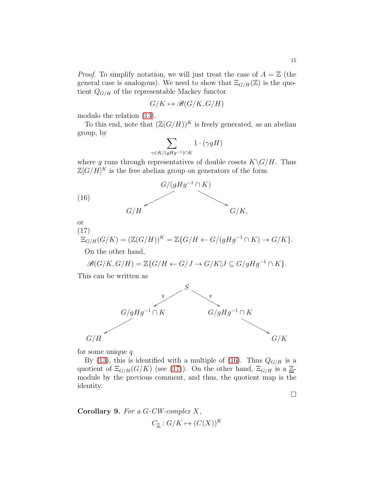*Proof.* To simplify notation, we will just treat the case of  $A = \mathbb{Z}$  (the general case is analogous). We need to show that  $\Xi_{G/H}(\mathbb{Z})$  is the quotient  $Q_{G/H}$  of the representable Mackey functor

$$
G/K \mapsto \mathcal{B}(G/K, G/H)
$$

modulo the relation [\(13\)](#page-12-0).

To this end, note that  $(\mathbb{Z}(G/H))^K$  is freely generated, as an abelian group, by

$$
\sum_{\gamma \in K/(gHg^{-1}) \cap K} 1 \cdot (\gamma gH)
$$

where g runs through representatives of double cosets  $K\backslash G/H$ . Thus  $\mathbb{Z}[G/H]^K$  is the free abelian group on generators of the form



<span id="page-14-0"></span>or (17)

<span id="page-14-1"></span>
$$
\Xi_{G/H}(G/K)=(\mathbb{Z}(G/H))^K=\mathbb{Z}\{G/H\leftarrow G/(gHg^{-1}\cap K)\rightarrow G/K\}.
$$

On the other hand,

$$
\mathscr{B}(G/K, G/H)=\mathbb{Z}\{G/H \leftarrow G/J \rightarrow G/K | J \subseteq G/gHg^{-1} \cap K\}.
$$

This can be written as



for some unique  $q$ .

By [\(13\)](#page-12-0), this is identified with a multiple of [\(16\)](#page-14-0). Thus  $Q_{G/H}$  is a quotient of  $\Xi_{G/H}(G/K)$  (see [\(17\)](#page-14-1)). On the other hand,  $\Xi_{G/H}$  is a  $\underline{\mathbb{Z}}$ module by the previous comment, and thus, the quotient map is the identity.

 $\Box$ 

<span id="page-14-2"></span>Corollary 9. For a  $G$ -CW-complex  $X$ ,  $C_{\mathbb{Z}} : G/K \mapsto (C(X))^K$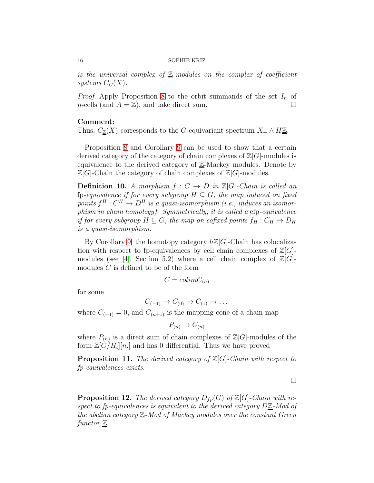is the universal complex of  $\mathbb{Z}$ -modules on the complex of coefficient systems  $C_G(X)$ .

*Proof.* Apply Proposition [8](#page-13-2) to the orbit summands of the set  $I_n$  of *n*-cells (and  $A = \mathbb{Z}$ ), and take direct sum.

### Comment:

Thus,  $C_{\mathbb{Z}}(X)$  corresponds to the G-equivariant spectrum  $X_+ \wedge H\underline{\mathbb{Z}}$ .

Proposition [8](#page-13-2) and Corollary [9](#page-14-2) can be used to show that a certain derived category of the category of chain complexes of  $\mathbb{Z}[G]$ -modules is equivalence to the derived category of  $\underline{\mathbb{Z}}$ -Mackey modules. Denote by  $\mathbb{Z}[G]$ -Chain the category of chain complexes of  $\mathbb{Z}[G]$ -modules.

**Definition 10.** A morphism  $f: C \rightarrow D$  in  $\mathbb{Z}[G]$ -Chain is called an fp-equivalence if for every subgroup  $H \subseteq G$ , the map induced on fixed points  $f^H: C^H \to D^H$  is a quasi-isomorphism (i.e., induces an isomorphism in chain homology). Symmetrically, it is called a cfp-equivalence if for every subgroup  $H \subseteq G$ , the map on cofixed points  $f_H : C_H \to D_H$ is a quasi-isomorphism.

By Corollary [9,](#page-14-2) the homotopy category  $h\mathbb{Z}[G]$ -Chain has colocalization with respect to fp-equivalences by cell chain complexes of  $\mathbb{Z}[G]$ -modules (see [\[4\]](#page-19-8), Section 5.2) where a cell chain complex of  $\mathbb{Z}[G]$ modules C is defined to be of the form

$$
C = colimC_{(n)}
$$

for some

$$
C_{(-1)} \to C_{(0)} \to C_{(1)} \to \dots
$$

where  $C_{(-1)} = 0$ , and  $C_{(n+1)}$  is the mapping cone of a chain map

$$
P_{(n)} \to C_{(n)}
$$

where  $P_{(n)}$  is a direct sum of chain complexes of  $\mathbb{Z}[G]$ -modules of the form  $\mathbb{Z}[\widetilde{G}/H_i][n_i]$  and has 0 differential. Thus we have proved

**Proposition 11.** The derived category of  $\mathbb{Z}[G]$ -Chain with respect to fp-equivalences exists.

 $\Box$ 

**Proposition 12.** The derived category  $D_{fp}(G)$  of  $\mathbb{Z}[G]$ -Chain with respect to fp-equivalences is equivalent to the derived category DZ-Mod of the abelian category  $\underline{\mathbb{Z}}$ -Mod of Mackey modules over the constant Green functor  $\underline{\mathbb{Z}}$ .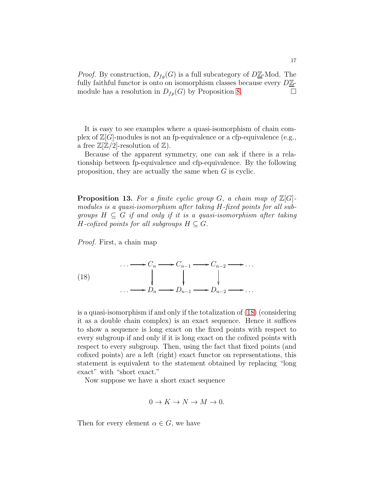*Proof.* By construction,  $D_{fq}(G)$  is a full subcategory of  $D\underline{\mathbb{Z}}$ -Mod. The fully faithful functor is onto on isomorphism classes because every  $D\underline{\mathbb{Z}}$ module has a resolution in  $D_{fp}(G)$  by Proposition [8.](#page-13-2)

It is easy to see examples where a quasi-isomorphism of chain complex of  $\mathbb{Z}[G]$ -modules is not an fp-equivalence or a cfp-equivalence (e.g., a free  $\mathbb{Z}[\mathbb{Z}/2]$ -resolution of  $\mathbb{Z}$ ).

Because of the apparent symmetry, one can ask if there is a relationship between fp-equivalence and cfp-equivalence. By the following proposition, they are actually the same when G is cyclic.

**Proposition 13.** For a finite cyclic group G, a chain map of  $\mathbb{Z}[G]$ modules is a quasi-isomorphism after taking H-fixed points for all subgroups  $H \subseteq G$  if and only if it is a quasi-isomorphism after taking H-cofixed points for all subgroups  $H \subseteq G$ .

Proof. First, a chain map

<span id="page-16-0"></span>(18)  
\n
$$
\begin{array}{ccc}\n & \cdots \longrightarrow C_n \longrightarrow C_{n-1} \longrightarrow C_{n-2} \longrightarrow \dots \\
& \downarrow & \downarrow \\
& \cdots \longrightarrow D_n \longrightarrow D_{n-1} \longrightarrow D_{n-2} \longrightarrow \dots\n\end{array}
$$

is a quasi-isomorphism if and only if the totalization of [\(18\)](#page-16-0) (considering it as a double chain complex) is an exact sequence. Hence it suffices to show a sequence is long exact on the fixed points with respect to every subgroup if and only if it is long exact on the cofixed points with respect to every subgroup. Then, using the fact that fixed points (and cofixed points) are a left (right) exact functor on representations, this statement is equivalent to the statement obtained by replacing "long exact" with "short exact."

Now suppose we have a short exact sequence

$$
0 \to K \to N \to M \to 0.
$$

Then for every element  $\alpha \in G$ , we have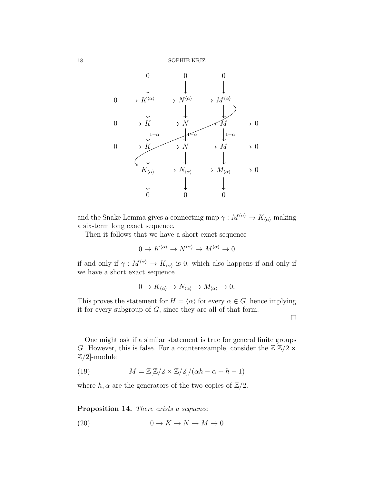18 SOPHIE KRIZ



and the Snake Lemma gives a connecting map  $\gamma : M^{\langle \alpha \rangle} \to K_{\langle \alpha \rangle}$  making a six-term long exact sequence.

Then it follows that we have a short exact sequence

$$
0 \to K^{\langle \alpha \rangle} \to N^{\langle \alpha \rangle} \to M^{\langle \alpha \rangle} \to 0
$$

if and only if  $\gamma: M^{\langle \alpha \rangle} \to K_{\langle \alpha \rangle}$  is 0, which also happens if and only if we have a short exact sequence

$$
0 \to K_{\langle \alpha \rangle} \to N_{\langle \alpha \rangle} \to M_{\langle \alpha \rangle} \to 0.
$$

This proves the statement for  $H = \langle \alpha \rangle$  for every  $\alpha \in G$ , hence implying it for every subgroup of  $G$ , since they are all of that form.

 $\Box$ 

One might ask if a similar statement is true for general finite groups G. However, this is false. For a counterexample, consider the  $\mathbb{Z}[\mathbb{Z}/2 \times]$  $\mathbb{Z}/2$ -module

<span id="page-17-0"></span>(19) 
$$
M = \mathbb{Z}[\mathbb{Z}/2 \times \mathbb{Z}/2]/(\alpha h - \alpha + h - 1)
$$

where h,  $\alpha$  are the generators of the two copies of  $\mathbb{Z}/2$ .

Proposition 14. There exists a sequence

<span id="page-17-1"></span>
$$
(20) \t\t 0 \to K \to N \to M \to 0
$$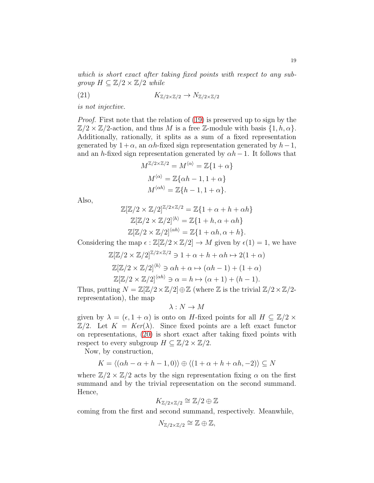which is short exact after taking fixed points with respect to any subgroup  $H \subseteq \mathbb{Z}/2 \times \mathbb{Z}/2$  while

$$
(21) \t\t K_{\mathbb{Z}/2 \times \mathbb{Z}/2} \to N_{\mathbb{Z}/2 \times \mathbb{Z}/2}
$$

is not injective.

Proof. First note that the relation of [\(19\)](#page-17-0) is preserved up to sign by the  $\mathbb{Z}/2 \times \mathbb{Z}/2$ -action, and thus M is a free Z-module with basis  $\{1, h, \alpha\}$ . Additionally, rationally, it splits as a sum of a fixed representation generated by  $1 + \alpha$ , an  $\alpha h$ -fixed sign representation generated by  $h-1$ , and an h-fixed sign representation generated by  $\alpha h-1$ . It follows that

<span id="page-18-0"></span>
$$
M^{\mathbb{Z}/2 \times \mathbb{Z}/2} = M^{\langle \alpha \rangle} = \mathbb{Z}\{1 + \alpha\}
$$

$$
M^{\langle \alpha \rangle} = \mathbb{Z}\{\alpha h - 1, 1 + \alpha\}
$$

$$
M^{\langle \alpha h \rangle} = \mathbb{Z}\{h - 1, 1 + \alpha\}.
$$

Also,

$$
\mathbb{Z}[\mathbb{Z}/2 \times \mathbb{Z}/2]^{\mathbb{Z}/2 \times \mathbb{Z}/2} = \mathbb{Z}\{1 + \alpha + h + \alpha h\}
$$
  

$$
\mathbb{Z}[\mathbb{Z}/2 \times \mathbb{Z}/2]^{(h)} = \mathbb{Z}\{1 + h, \alpha + \alpha h\}
$$
  

$$
\mathbb{Z}[\mathbb{Z}/2 \times \mathbb{Z}/2]^{(\alpha h)} = \mathbb{Z}\{1 + \alpha h, \alpha + h\}.
$$

Considering the map  $\epsilon : \mathbb{Z}[\mathbb{Z}/2 \times \mathbb{Z}/2] \to M$  given by  $\epsilon(1) = 1$ , we have

$$
\mathbb{Z}[\mathbb{Z}/2 \times \mathbb{Z}/2]^{\mathbb{Z}/2 \times \mathbb{Z}/2} \ni 1 + \alpha + h + \alpha h \mapsto 2(1 + \alpha)
$$

$$
\mathbb{Z}[\mathbb{Z}/2 \times \mathbb{Z}/2]^{(h)} \ni \alpha h + \alpha \mapsto (\alpha h - 1) + (1 + \alpha)
$$

$$
\mathbb{Z}[\mathbb{Z}/2 \times \mathbb{Z}/2]^{\langle \alpha h \rangle} \ni \alpha = h \mapsto (\alpha + 1) + (h - 1).
$$

Thus, putting  $N = \mathbb{Z}[\mathbb{Z}/2 \times \mathbb{Z}/2] \oplus \mathbb{Z}$  (where  $\mathbb Z$  is the trivial  $\mathbb{Z}/2 \times \mathbb{Z}/2$ representation), the map

 $\lambda : N \to M$ 

given by  $\lambda = (\epsilon, 1 + \alpha)$  is onto on H-fixed points for all  $H \subseteq \mathbb{Z}/2 \times$  $\mathbb{Z}/2$ . Let  $K = \text{Ker}(\lambda)$ . Since fixed points are a left exact functor on representations, [\(20\)](#page-17-1) is short exact after taking fixed points with respect to every subgroup  $H \subseteq \mathbb{Z}/2 \times \mathbb{Z}/2$ .

Now, by construction,

$$
K = \langle (\alpha h - \alpha + h - 1, 0) \rangle \oplus \langle (1 + \alpha + h + \alpha h, -2) \rangle \subseteq N
$$

where  $\mathbb{Z}/2 \times \mathbb{Z}/2$  acts by the sign representation fixing  $\alpha$  on the first summand and by the trivial representation on the second summand. Hence,

$$
K_{\mathbb{Z}/2\times\mathbb{Z}/2} \cong \mathbb{Z}/2 \oplus \mathbb{Z}
$$

coming from the first and second summand, respectively. Meanwhile,

$$
N_{\mathbb{Z}/2\times\mathbb{Z}/2} \cong \mathbb{Z} \oplus \mathbb{Z},
$$